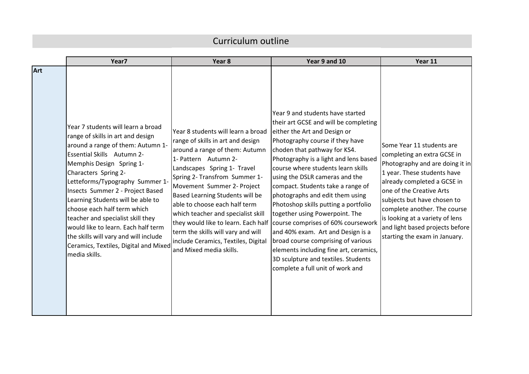## Curriculum outline

|            | Year7                                                                                                                                                                                                                                                                                                                                                                                                                                                                                                                           | Year 8                                                                                                                                                                                                                                                                                                                                                                                                                                                                                   | Year 9 and 10                                                                                                                                                                                                                                                                                                                                                                                                                                                                                                                                                                                                                                                                         | Year 11                                                                                                                                                                                                                                                                                                                                                     |
|------------|---------------------------------------------------------------------------------------------------------------------------------------------------------------------------------------------------------------------------------------------------------------------------------------------------------------------------------------------------------------------------------------------------------------------------------------------------------------------------------------------------------------------------------|------------------------------------------------------------------------------------------------------------------------------------------------------------------------------------------------------------------------------------------------------------------------------------------------------------------------------------------------------------------------------------------------------------------------------------------------------------------------------------------|---------------------------------------------------------------------------------------------------------------------------------------------------------------------------------------------------------------------------------------------------------------------------------------------------------------------------------------------------------------------------------------------------------------------------------------------------------------------------------------------------------------------------------------------------------------------------------------------------------------------------------------------------------------------------------------|-------------------------------------------------------------------------------------------------------------------------------------------------------------------------------------------------------------------------------------------------------------------------------------------------------------------------------------------------------------|
| <b>Art</b> | Year 7 students will learn a broad<br>range of skills in art and design<br>around a range of them: Autumn 1-<br><b>Essential Skills</b> Autumn 2-<br>Memphis Design Spring 1-<br>Characters Spring 2-<br>Letteforms/Typography Summer 1-<br>Insects Summer 2 - Project Based<br>Learning Students will be able to<br>choose each half term which<br>teacher and specialist skill they<br>would like to learn. Each half term<br>the skills will vary and will include<br>Ceramics, Textiles, Digital and Mixed<br>media skills. | Year 8 students will learn a broad<br>range of skills in art and design<br>around a range of them: Autumn<br>1- Pattern Autumn 2-<br>Landscapes Spring 1- Travel<br>Spring 2- Transfrom Summer 1-<br>Movement Summer 2- Project<br>Based Learning Students will be<br>able to choose each half term<br>which teacher and specialist skill<br>they would like to learn. Each half<br>term the skills will vary and will<br>include Ceramics, Textiles, Digital<br>and Mixed media skills. | Year 9 and students have started<br>their art GCSE and will be completing<br>either the Art and Design or<br>Photography course if they have<br>choden that pathway for KS4.<br>Photography is a light and lens based<br>course where students learn skills<br>using the DSLR cameras and the<br>compact. Students take a range of<br>photographs and edit them using<br>Photoshop skills putting a portfolio<br>together using Powerpoint. The<br>course comprises of 60% coursework<br>and 40% exam. Art and Design is a<br>broad course comprising of various<br>elements including fine art, ceramics,<br>3D sculpture and textiles. Students<br>complete a full unit of work and | Some Year 11 students are<br>completing an extra GCSE in<br>Photography and are doing it in<br>1 year. These students have<br>already completed a GCSE in<br>one of the Creative Arts<br>subjects but have chosen to<br>complete another. The course<br>is looking at a variety of lens<br>and light based projects before<br>starting the exam in January. |